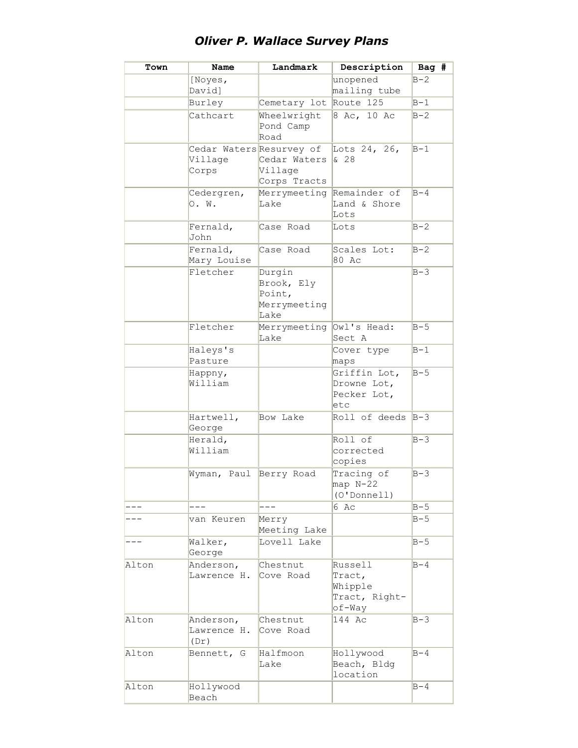## *Oliver P. Wallace Survey Plans*

| Town  | Name                     | Landmark                | Description             | $Bag$ # |
|-------|--------------------------|-------------------------|-------------------------|---------|
|       | [Noyes,                  |                         | unopened                | $B - 2$ |
|       | David]                   |                         | mailing tube            |         |
|       | Burley                   | Cemetary lot            | Route 125               | $B-1$   |
|       | Cathcart                 | Wheelwright             | 8 Ac, 10 Ac             | $B - 2$ |
|       |                          | Pond Camp               |                         |         |
|       |                          | Road                    |                         |         |
|       | Cedar Waters Resurvey of |                         | Lots 24, 26,            | $B-1$   |
|       | Village                  | Cedar Waters            | & 28                    |         |
|       | Corps                    | Village<br>Corps Tracts |                         |         |
|       | Cedergren,               | Merrymeeting            | Remainder of            | $B - 4$ |
|       | 0. W.                    | Lake                    | Land & Shore            |         |
|       |                          |                         | Lots                    |         |
|       | Fernald,                 | Case Road               | Lots                    | $B - 2$ |
|       | John                     |                         |                         |         |
|       | Fernald,                 | Case Road               | Scales Lot:             | $B - 2$ |
|       | Mary Louise              |                         | 80 Ac                   |         |
|       | Fletcher                 | Durgin                  |                         | $B-3$   |
|       |                          | Brook, Ely              |                         |         |
|       |                          | Point,<br>Merrymeeting  |                         |         |
|       |                          | Lake                    |                         |         |
|       | Fletcher                 | Merrymeeting            | Owl's Head:             | $B-5$   |
|       |                          | Lake                    | Sect A                  |         |
|       | Haleys's                 |                         | Cover type              | $B-1$   |
|       | Pasture                  |                         | maps                    |         |
|       | Happny,                  |                         | Griffin Lot,            | $B-5$   |
|       | William                  |                         | Drowne Lot,             |         |
|       |                          |                         | Pecker Lot,             |         |
|       |                          |                         | etc                     |         |
|       | Hartwell,                | Bow Lake                | Roll of deeds           | $B-3$   |
|       | George                   |                         |                         |         |
|       | Herald,<br>William       |                         | Roll of                 | $B-3$   |
|       |                          |                         | corrected<br>copies     |         |
|       | Wyman, Paul              | Berry Road              | Tracing of              | $B - 3$ |
|       |                          |                         | map N-22                |         |
|       |                          |                         | (O'Donnell)             |         |
|       |                          |                         | 6 Ac                    | $B-5$   |
|       | van Keuren               | Merry                   |                         | $B-5$   |
|       |                          | Meeting Lake            |                         |         |
|       | Walker,                  | Lovell Lake             |                         | $B-5$   |
|       | George                   |                         |                         |         |
| Alton | Anderson,                | Chestnut                | Russell                 | $B - 4$ |
|       | Lawrence H.              | Cove Road               | Tract,                  |         |
|       |                          |                         | Whipple                 |         |
|       |                          |                         | Tract, Right-<br>of-Way |         |
| Alton | Anderson,                | Chestnut                | 144 Ac                  | $B-3$   |
|       | Lawrence H.              | Cove Road               |                         |         |
|       | (Dr)                     |                         |                         |         |
| Alton | Bennett, G               | Halfmoon                | Hollywood               | $B - 4$ |
|       |                          | Lake                    | Beach, Bldg             |         |
|       |                          |                         | location                |         |
| Alton | Hollywood                |                         |                         | $B - 4$ |
|       | Beach                    |                         |                         |         |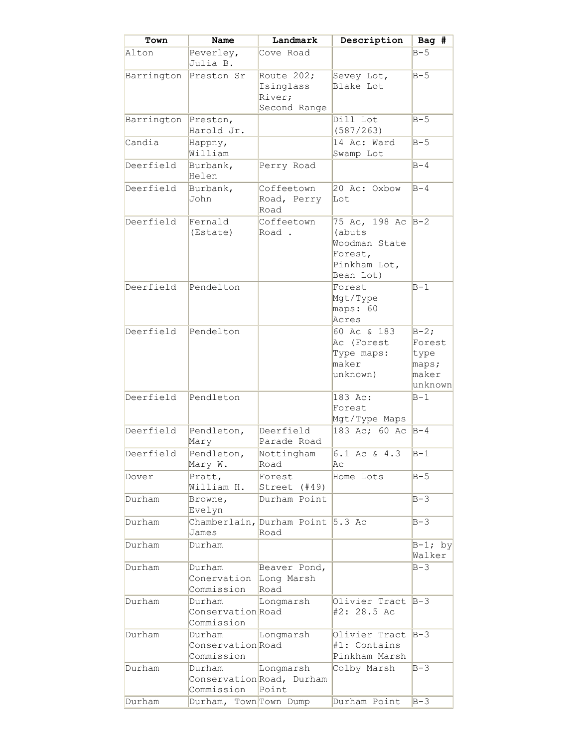| Town       | Name                                           | Landmark                                          | Description                                                                      | $Bag$ #                                               |
|------------|------------------------------------------------|---------------------------------------------------|----------------------------------------------------------------------------------|-------------------------------------------------------|
| Alton      | Peverley,<br>Julia B.                          | Cove Road                                         |                                                                                  | $B-5$                                                 |
| Barrington | Preston Sr                                     | Route 202;<br>Isinglass<br>River;<br>Second Range | Sevey Lot,<br>Blake Lot                                                          | $B-5$                                                 |
| Barrington | Preston,<br>Harold Jr.                         |                                                   | Dill Lot<br>(587/263)                                                            | $B-5$                                                 |
| Candia     | Happny,<br>William                             |                                                   | 14 Ac: Ward<br>Swamp Lot                                                         | $B - 5$                                               |
| Deerfield  | Burbank,<br>Helen                              | Perry Road                                        |                                                                                  | $B - 4$                                               |
| Deerfield  | Burbank,<br>John                               | Coffeetown<br>Road, Perry<br>Road                 | 20 Ac: Oxbow<br>Lot                                                              | $B-4$                                                 |
| Deerfield  | Fernald<br>(Estate)                            | Coffeetown<br>Road.                               | 75 Ac, 198 Ac<br>(abuts<br>Woodman State<br>Forest,<br>Pinkham Lot,<br>Bean Lot) | $B - 2$                                               |
| Deerfield  | Pendelton                                      |                                                   | Forest<br>Mgt/Type<br>maps: 60<br>Acres                                          | $B-1$                                                 |
| Deerfield  | Pendelton                                      |                                                   | 60 Ac & 183<br>Ac (Forest<br>Type maps:<br>maker<br>unknown)                     | $B-2;$<br>Forest<br>type<br>maps;<br>maker<br>unknown |
| Deerfield  | Pendleton                                      |                                                   | 183 Ac:<br>Forest<br>Mgt/Type Maps                                               | $B-1$                                                 |
| Deerfield  | Pendleton,<br>Mary                             | Deerfield<br>Parade Road                          | 183 Ac; 60 Ac                                                                    | $B - 4$                                               |
| Deerfield  | Pendleton,<br>Mary W.                          | Nottingham<br>Road                                | 6.1 Ac & 4.3<br>Ac                                                               | $B-1$                                                 |
| Dover      | Pratt,<br>William H.                           | Forest<br>Street (#49)                            | Home Lots                                                                        | $B-5$                                                 |
| Durham     | Browne,<br>Evelyn                              | Durham Point                                      |                                                                                  | $B - 3$                                               |
| Durham     | James                                          | Chamberlain, Durham Point 5.3 Ac<br>Road          |                                                                                  | $B - 3$                                               |
| Durham     | Durham                                         |                                                   |                                                                                  | $B-1$ ; by<br>Walker                                  |
| Durham     | Durham<br>Conervation Long Marsh<br>Commission | Beaver Pond,<br>Road                              |                                                                                  | $B-3$                                                 |
| Durham     | Durham<br>ConservationRoad<br>Commission       | Longmarsh                                         | Olivier Tract<br>#2: 28.5 Ac                                                     | $B-3$                                                 |
| Durham     | Durham<br>ConservationRoad<br>Commission       | Longmarsh                                         | Olivier Tract<br>#1: Contains<br>Pinkham Marsh                                   | $B-3$                                                 |
| Durham     | Durham<br>Commission                           | Longmarsh<br>ConservationRoad, Durham<br>Point    | Colby Marsh                                                                      | $B-3$                                                 |
| Durham     | Durham, Town Town Dump                         |                                                   | Durham Point                                                                     | $B-3$                                                 |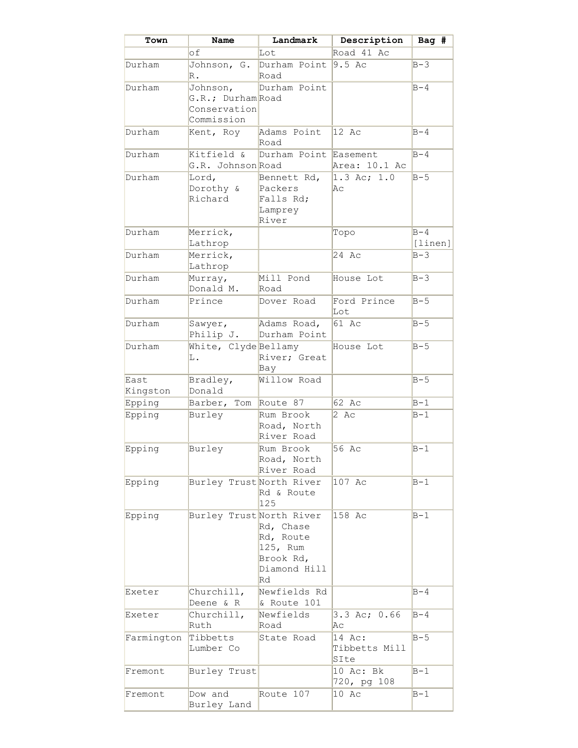| Town             | Name                                                        | Landmark                                                              | Description                     | Bag #              |
|------------------|-------------------------------------------------------------|-----------------------------------------------------------------------|---------------------------------|--------------------|
|                  | оf                                                          | Lot                                                                   | Road 41 Ac                      |                    |
| Durham           | Johnson, G.<br>R.                                           | Durham Point<br>Road                                                  | $9.5$ Ac                        | $B - 3$            |
| Durham           | Johnson,<br>G.R.; Durham Road<br>Conservation<br>Commission | Durham Point                                                          |                                 | $B - 4$            |
| Durham           | Kent, Roy                                                   | Adams Point<br>Road                                                   | $12$ Ac                         | $B - 4$            |
| Durham           | Kitfield &<br>G.R. Johnson Road                             | Durham Point Easement                                                 | Area: 10.1 Ac                   | $B - 4$            |
| Durham           | Lord,<br>Dorothy &<br>Richard                               | Bennett Rd,<br>Packers<br>Falls Rd;<br>Lamprey<br>River               | $1.3$ Ac; $1.0$<br>Ac           | $B - 5$            |
| Durham           | Merrick,<br>Lathrop                                         |                                                                       | Topo                            | $B - 4$<br>[linen] |
| Durham           | Merrick,<br>Lathrop                                         |                                                                       | $24$ Ac                         | $B-3$              |
| Durham           | Murray,<br>Donald M.                                        | Mill Pond<br>Road                                                     | House Lot                       | $B - 3$            |
| Durham           | Prince                                                      | Dover Road                                                            | Ford Prince<br>Lot              | $B-5$              |
| Durham           | Sawyer,<br>Philip J.                                        | Adams Road,<br>Durham Point                                           | 61 Ac                           | $B-5$              |
| Durham           | White, ClydeBellamy<br>L.                                   | River; Great<br>Bay                                                   | House Lot                       | $B-5$              |
| East<br>Kingston | Bradley,<br>Donald                                          | Willow Road                                                           |                                 | $B - 5$            |
| Epping           | Barber, Tom Route 87                                        |                                                                       | 62 Ac                           | $B-1$              |
| Epping           | Burley                                                      | Rum Brook<br>Road, North<br>River Road                                | 2 Ac                            | $B-1$              |
| Epping           | Burley                                                      | Rum Brook<br>Road, North<br>River Road                                | 56 Ac                           | $B-1$              |
| Epping           | Burley Trust North River                                    | Rd & Route<br>125                                                     | 107 Ac                          | $B-1$              |
| Epping           | Burley Trust North River                                    | Rd, Chase<br>Rd, Route<br>125, Rum<br>Brook Rd,<br>Diamond Hill<br>Rd | 158 Ac                          | $B-1$              |
| Exeter           | Churchill,<br>Deene & R                                     | Newfields Rd<br>& Route 101                                           |                                 | $B - 4$            |
| Exeter           | Churchill,<br>Ruth                                          | Newfields<br>Road                                                     | 3.3 Ac; 0.66<br>Aс              | $B - 4$            |
| Farmington       | Tibbetts<br>Lumber Co                                       | State Road                                                            | 14 Ac:<br>Tibbetts Mill<br>SIte | $B-5$              |
| Fremont          | Burley Trust                                                |                                                                       | 10 Ac: Bk<br>720, pg 108        | $B-1$              |
| Fremont          | Dow and<br>Burley Land                                      | Route 107                                                             | 10 Ac                           | $B-1$              |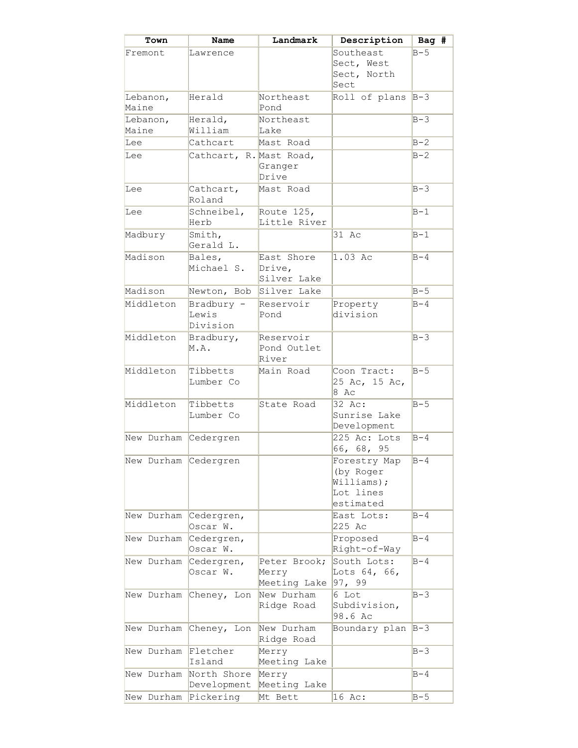| Town                 | Name                            | Landmark                              | Description                                                       | Bag #   |
|----------------------|---------------------------------|---------------------------------------|-------------------------------------------------------------------|---------|
| Fremont              | Lawrence                        |                                       | Southeast<br>Sect, West<br>Sect, North<br>Sect                    | $B-5$   |
| Lebanon,<br>Maine    | Herald                          | Northeast<br>Pond                     | Roll of plans $B-3$                                               |         |
| Lebanon,<br>Maine    | Herald,<br>William              | Northeast<br>Lake                     |                                                                   | $B-3$   |
| Lee                  | Cathcart                        | Mast Road                             |                                                                   | $B - 2$ |
| Lee                  | Cathcart, R. Mast Road,         | Granger<br>Drive                      |                                                                   | $B - 2$ |
| Lee                  | Cathcart,<br>Roland             | Mast Road                             |                                                                   | $B-3$   |
| Lee                  | Schneibel,<br>Herb              | Route 125,<br>Little River            |                                                                   | $B-1$   |
| Madbury              | Smith,<br>Gerald L.             |                                       | 31 Ac                                                             | $B-1$   |
| Madison              | Bales,<br>Michael S.            | East Shore<br>Drive,<br>Silver Lake   | 1.03 Ac                                                           | $B - 4$ |
| Madison              | Newton, Bob                     | Silver Lake                           |                                                                   | $B-5$   |
| Middleton            | Bradbury -<br>Lewis<br>Division | Reservoir<br>Pond                     | Property<br>division                                              | $B - 4$ |
| Middleton            | Bradbury,<br>M.A.               | Reservoir<br>Pond Outlet<br>River     |                                                                   | $B-3$   |
| Middleton            | Tibbetts<br>Lumber Co           | Main Road                             | Coon Tract:<br>25 Ac, 15 Ac,<br>8 Ac                              | $B-5$   |
| Middleton            | Tibbetts<br>Lumber Co           | State Road                            | 32 Ac:<br>Sunrise Lake<br>Development                             | $B-5$   |
| New Durham           | Cedergren                       |                                       | 225 Ac: Lots<br>66, 68, 95                                        | $B - 4$ |
| New Durham Cedergren |                                 |                                       | Forestry Map<br>(by Roger<br>Williams);<br>Lot lines<br>estimated | $B - 4$ |
| New Durham           | Cedergren,<br>Oscar W.          |                                       | East Lots:<br>225 Ac                                              | $B - 4$ |
| New Durham           | Cedergren,<br>Oscar W.          |                                       | Proposed<br>Right-of-Way                                          | $B - 4$ |
| New Durham           | Cedergren,<br>Oscar W.          | Peter Brook;<br>Merry<br>Meeting Lake | South Lots:<br>Lots 64, 66,<br>97, 99                             | $B - 4$ |
| New Durham           | Cheney, Lon                     | New Durham<br>Ridge Road              | 6 Lot<br>Subdivision,<br>98.6 Ac                                  | $B-3$   |
| New Durham           | Cheney, Lon                     | New Durham<br>Ridge Road              | Boundary plan B-3                                                 |         |
| New Durham           | Fletcher<br>Island              | Merry<br>Meeting Lake                 |                                                                   | $B-3$   |
| New Durham           | North Shore<br>Development      | Merry<br>Meeting Lake                 |                                                                   | $B - 4$ |
| New Durham Pickering |                                 | Mt Bett                               | 16 Ac:                                                            | $B - 5$ |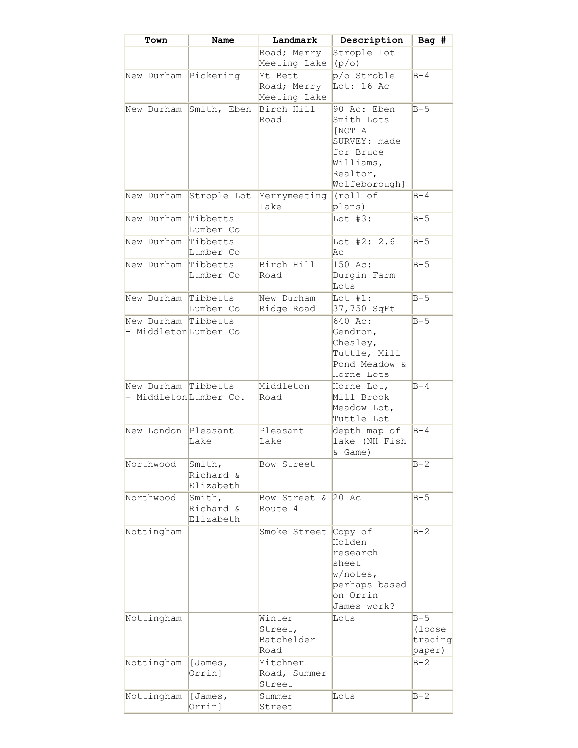| Strople Lot<br>Road; Merry<br>Meeting Lake<br>(p/o)<br>p/o Stroble<br>New Durham Pickering<br>Mt Bett<br>$B - 4$<br>Lot: 16 Ac<br>Road; Merry<br>Meeting Lake<br>Birch Hill<br>90 Ac: Eben<br>$B - 5$<br>Smith, Eben<br>Smith Lots<br>Road<br>INOT A<br>SURVEY: made<br>for Bruce<br>Williams,<br>Realtor,<br>Wolfeborough]<br>(roll of<br>New Durham<br>Strople Lot<br>Merrymeeting<br>$B - 4$<br>Lake<br>plans)<br>New Durham<br>Tibbetts<br>Lot $#3:$<br>$B-5$<br>Lumber Co<br>Tibbetts<br>Lot #2: 2.6<br>New Durham<br>$B-5$<br>Lumber Co<br>Aс<br>Birch $H$ ill<br>New Durham<br>Tibbetts<br>$B-5$<br>150 Ac:<br>Lumber Co<br>Road<br>Durgin Farm<br>Lots<br>Lot $#1:$<br>New Durham<br>Tibbetts<br>New Durham<br>$B-5$<br>Ridge Road<br>37,750 SqFt<br>Lumber Co<br>640 Ac:<br>New Durham<br>Tibbetts<br>$B-5$<br>- Middleton ${\tt Lumber}$ co<br>Gendron,<br>Chesley,<br>Tuttle, Mill<br>Pond Meadow &<br>Horne Lots<br>New Durham Tibbetts<br>Middleton<br>Horne Lot,<br>$B - 4$<br>- MiddletonLumber Co.<br>Road<br>Mill Brook<br>Meadow Lot,<br>Tuttle Lot<br>New London Pleasant<br>depth map of<br>Pleasant<br>$B - 4$<br>lake (NH Fish<br>Lake<br>Lake<br>$&$ Game)<br>Smith,<br>Bow Street<br>B-2<br>Richard &<br>Elizabeth<br>$B - 5$<br>Bow Street &<br>$20$ Ac<br>Smith,<br>Richard &<br>Route 4<br>Elizabeth<br>Smoke Street<br>Copy of<br>$B - 2$<br>Holden<br>research<br>sheet<br>w/notes,<br>perhaps based<br>on Orrin<br>James work?<br>$B-5$<br>Winter<br>Lots<br>Street,<br>Batchelder<br>Road<br>$B - 2$<br>[James,<br>Mitchner<br>Nottingham<br>Orrin]<br>Road, Summer<br>Street<br>Nottingham<br>$B - 2$<br>[James,<br>Summer<br>Lots | Town       | Name   | Landmark | Description | Bag #   |
|--------------------------------------------------------------------------------------------------------------------------------------------------------------------------------------------------------------------------------------------------------------------------------------------------------------------------------------------------------------------------------------------------------------------------------------------------------------------------------------------------------------------------------------------------------------------------------------------------------------------------------------------------------------------------------------------------------------------------------------------------------------------------------------------------------------------------------------------------------------------------------------------------------------------------------------------------------------------------------------------------------------------------------------------------------------------------------------------------------------------------------------------------------------------------------------------------------------------------------------------------------------------------------------------------------------------------------------------------------------------------------------------------------------------------------------------------------------------------------------------------------------------------------------------------------------------------------------------------------------------------------------------------------------------|------------|--------|----------|-------------|---------|
|                                                                                                                                                                                                                                                                                                                                                                                                                                                                                                                                                                                                                                                                                                                                                                                                                                                                                                                                                                                                                                                                                                                                                                                                                                                                                                                                                                                                                                                                                                                                                                                                                                                                    |            |        |          |             |         |
|                                                                                                                                                                                                                                                                                                                                                                                                                                                                                                                                                                                                                                                                                                                                                                                                                                                                                                                                                                                                                                                                                                                                                                                                                                                                                                                                                                                                                                                                                                                                                                                                                                                                    |            |        |          |             |         |
|                                                                                                                                                                                                                                                                                                                                                                                                                                                                                                                                                                                                                                                                                                                                                                                                                                                                                                                                                                                                                                                                                                                                                                                                                                                                                                                                                                                                                                                                                                                                                                                                                                                                    |            |        |          |             |         |
|                                                                                                                                                                                                                                                                                                                                                                                                                                                                                                                                                                                                                                                                                                                                                                                                                                                                                                                                                                                                                                                                                                                                                                                                                                                                                                                                                                                                                                                                                                                                                                                                                                                                    |            |        |          |             |         |
|                                                                                                                                                                                                                                                                                                                                                                                                                                                                                                                                                                                                                                                                                                                                                                                                                                                                                                                                                                                                                                                                                                                                                                                                                                                                                                                                                                                                                                                                                                                                                                                                                                                                    |            |        |          |             |         |
|                                                                                                                                                                                                                                                                                                                                                                                                                                                                                                                                                                                                                                                                                                                                                                                                                                                                                                                                                                                                                                                                                                                                                                                                                                                                                                                                                                                                                                                                                                                                                                                                                                                                    | New Durham |        |          |             |         |
|                                                                                                                                                                                                                                                                                                                                                                                                                                                                                                                                                                                                                                                                                                                                                                                                                                                                                                                                                                                                                                                                                                                                                                                                                                                                                                                                                                                                                                                                                                                                                                                                                                                                    |            |        |          |             |         |
|                                                                                                                                                                                                                                                                                                                                                                                                                                                                                                                                                                                                                                                                                                                                                                                                                                                                                                                                                                                                                                                                                                                                                                                                                                                                                                                                                                                                                                                                                                                                                                                                                                                                    |            |        |          |             |         |
|                                                                                                                                                                                                                                                                                                                                                                                                                                                                                                                                                                                                                                                                                                                                                                                                                                                                                                                                                                                                                                                                                                                                                                                                                                                                                                                                                                                                                                                                                                                                                                                                                                                                    |            |        |          |             |         |
|                                                                                                                                                                                                                                                                                                                                                                                                                                                                                                                                                                                                                                                                                                                                                                                                                                                                                                                                                                                                                                                                                                                                                                                                                                                                                                                                                                                                                                                                                                                                                                                                                                                                    |            |        |          |             |         |
|                                                                                                                                                                                                                                                                                                                                                                                                                                                                                                                                                                                                                                                                                                                                                                                                                                                                                                                                                                                                                                                                                                                                                                                                                                                                                                                                                                                                                                                                                                                                                                                                                                                                    |            |        |          |             |         |
|                                                                                                                                                                                                                                                                                                                                                                                                                                                                                                                                                                                                                                                                                                                                                                                                                                                                                                                                                                                                                                                                                                                                                                                                                                                                                                                                                                                                                                                                                                                                                                                                                                                                    |            |        |          |             |         |
|                                                                                                                                                                                                                                                                                                                                                                                                                                                                                                                                                                                                                                                                                                                                                                                                                                                                                                                                                                                                                                                                                                                                                                                                                                                                                                                                                                                                                                                                                                                                                                                                                                                                    |            |        |          |             |         |
|                                                                                                                                                                                                                                                                                                                                                                                                                                                                                                                                                                                                                                                                                                                                                                                                                                                                                                                                                                                                                                                                                                                                                                                                                                                                                                                                                                                                                                                                                                                                                                                                                                                                    |            |        |          |             |         |
|                                                                                                                                                                                                                                                                                                                                                                                                                                                                                                                                                                                                                                                                                                                                                                                                                                                                                                                                                                                                                                                                                                                                                                                                                                                                                                                                                                                                                                                                                                                                                                                                                                                                    |            |        |          |             |         |
|                                                                                                                                                                                                                                                                                                                                                                                                                                                                                                                                                                                                                                                                                                                                                                                                                                                                                                                                                                                                                                                                                                                                                                                                                                                                                                                                                                                                                                                                                                                                                                                                                                                                    |            |        |          |             |         |
|                                                                                                                                                                                                                                                                                                                                                                                                                                                                                                                                                                                                                                                                                                                                                                                                                                                                                                                                                                                                                                                                                                                                                                                                                                                                                                                                                                                                                                                                                                                                                                                                                                                                    |            |        |          |             |         |
|                                                                                                                                                                                                                                                                                                                                                                                                                                                                                                                                                                                                                                                                                                                                                                                                                                                                                                                                                                                                                                                                                                                                                                                                                                                                                                                                                                                                                                                                                                                                                                                                                                                                    |            |        |          |             |         |
|                                                                                                                                                                                                                                                                                                                                                                                                                                                                                                                                                                                                                                                                                                                                                                                                                                                                                                                                                                                                                                                                                                                                                                                                                                                                                                                                                                                                                                                                                                                                                                                                                                                                    |            |        |          |             |         |
|                                                                                                                                                                                                                                                                                                                                                                                                                                                                                                                                                                                                                                                                                                                                                                                                                                                                                                                                                                                                                                                                                                                                                                                                                                                                                                                                                                                                                                                                                                                                                                                                                                                                    |            |        |          |             |         |
|                                                                                                                                                                                                                                                                                                                                                                                                                                                                                                                                                                                                                                                                                                                                                                                                                                                                                                                                                                                                                                                                                                                                                                                                                                                                                                                                                                                                                                                                                                                                                                                                                                                                    |            |        |          |             |         |
|                                                                                                                                                                                                                                                                                                                                                                                                                                                                                                                                                                                                                                                                                                                                                                                                                                                                                                                                                                                                                                                                                                                                                                                                                                                                                                                                                                                                                                                                                                                                                                                                                                                                    |            |        |          |             |         |
|                                                                                                                                                                                                                                                                                                                                                                                                                                                                                                                                                                                                                                                                                                                                                                                                                                                                                                                                                                                                                                                                                                                                                                                                                                                                                                                                                                                                                                                                                                                                                                                                                                                                    |            |        |          |             |         |
|                                                                                                                                                                                                                                                                                                                                                                                                                                                                                                                                                                                                                                                                                                                                                                                                                                                                                                                                                                                                                                                                                                                                                                                                                                                                                                                                                                                                                                                                                                                                                                                                                                                                    |            |        |          |             |         |
|                                                                                                                                                                                                                                                                                                                                                                                                                                                                                                                                                                                                                                                                                                                                                                                                                                                                                                                                                                                                                                                                                                                                                                                                                                                                                                                                                                                                                                                                                                                                                                                                                                                                    |            |        |          |             |         |
|                                                                                                                                                                                                                                                                                                                                                                                                                                                                                                                                                                                                                                                                                                                                                                                                                                                                                                                                                                                                                                                                                                                                                                                                                                                                                                                                                                                                                                                                                                                                                                                                                                                                    |            |        |          |             |         |
|                                                                                                                                                                                                                                                                                                                                                                                                                                                                                                                                                                                                                                                                                                                                                                                                                                                                                                                                                                                                                                                                                                                                                                                                                                                                                                                                                                                                                                                                                                                                                                                                                                                                    |            |        |          |             |         |
|                                                                                                                                                                                                                                                                                                                                                                                                                                                                                                                                                                                                                                                                                                                                                                                                                                                                                                                                                                                                                                                                                                                                                                                                                                                                                                                                                                                                                                                                                                                                                                                                                                                                    |            |        |          |             |         |
|                                                                                                                                                                                                                                                                                                                                                                                                                                                                                                                                                                                                                                                                                                                                                                                                                                                                                                                                                                                                                                                                                                                                                                                                                                                                                                                                                                                                                                                                                                                                                                                                                                                                    |            |        |          |             |         |
|                                                                                                                                                                                                                                                                                                                                                                                                                                                                                                                                                                                                                                                                                                                                                                                                                                                                                                                                                                                                                                                                                                                                                                                                                                                                                                                                                                                                                                                                                                                                                                                                                                                                    |            |        |          |             |         |
|                                                                                                                                                                                                                                                                                                                                                                                                                                                                                                                                                                                                                                                                                                                                                                                                                                                                                                                                                                                                                                                                                                                                                                                                                                                                                                                                                                                                                                                                                                                                                                                                                                                                    |            |        |          |             |         |
|                                                                                                                                                                                                                                                                                                                                                                                                                                                                                                                                                                                                                                                                                                                                                                                                                                                                                                                                                                                                                                                                                                                                                                                                                                                                                                                                                                                                                                                                                                                                                                                                                                                                    |            |        |          |             |         |
|                                                                                                                                                                                                                                                                                                                                                                                                                                                                                                                                                                                                                                                                                                                                                                                                                                                                                                                                                                                                                                                                                                                                                                                                                                                                                                                                                                                                                                                                                                                                                                                                                                                                    |            |        |          |             |         |
|                                                                                                                                                                                                                                                                                                                                                                                                                                                                                                                                                                                                                                                                                                                                                                                                                                                                                                                                                                                                                                                                                                                                                                                                                                                                                                                                                                                                                                                                                                                                                                                                                                                                    |            |        |          |             |         |
|                                                                                                                                                                                                                                                                                                                                                                                                                                                                                                                                                                                                                                                                                                                                                                                                                                                                                                                                                                                                                                                                                                                                                                                                                                                                                                                                                                                                                                                                                                                                                                                                                                                                    |            |        |          |             |         |
|                                                                                                                                                                                                                                                                                                                                                                                                                                                                                                                                                                                                                                                                                                                                                                                                                                                                                                                                                                                                                                                                                                                                                                                                                                                                                                                                                                                                                                                                                                                                                                                                                                                                    |            |        |          |             |         |
|                                                                                                                                                                                                                                                                                                                                                                                                                                                                                                                                                                                                                                                                                                                                                                                                                                                                                                                                                                                                                                                                                                                                                                                                                                                                                                                                                                                                                                                                                                                                                                                                                                                                    |            |        |          |             |         |
|                                                                                                                                                                                                                                                                                                                                                                                                                                                                                                                                                                                                                                                                                                                                                                                                                                                                                                                                                                                                                                                                                                                                                                                                                                                                                                                                                                                                                                                                                                                                                                                                                                                                    |            |        |          |             |         |
|                                                                                                                                                                                                                                                                                                                                                                                                                                                                                                                                                                                                                                                                                                                                                                                                                                                                                                                                                                                                                                                                                                                                                                                                                                                                                                                                                                                                                                                                                                                                                                                                                                                                    | Northwood  |        |          |             |         |
|                                                                                                                                                                                                                                                                                                                                                                                                                                                                                                                                                                                                                                                                                                                                                                                                                                                                                                                                                                                                                                                                                                                                                                                                                                                                                                                                                                                                                                                                                                                                                                                                                                                                    |            |        |          |             |         |
|                                                                                                                                                                                                                                                                                                                                                                                                                                                                                                                                                                                                                                                                                                                                                                                                                                                                                                                                                                                                                                                                                                                                                                                                                                                                                                                                                                                                                                                                                                                                                                                                                                                                    |            |        |          |             |         |
|                                                                                                                                                                                                                                                                                                                                                                                                                                                                                                                                                                                                                                                                                                                                                                                                                                                                                                                                                                                                                                                                                                                                                                                                                                                                                                                                                                                                                                                                                                                                                                                                                                                                    | Northwood  |        |          |             |         |
|                                                                                                                                                                                                                                                                                                                                                                                                                                                                                                                                                                                                                                                                                                                                                                                                                                                                                                                                                                                                                                                                                                                                                                                                                                                                                                                                                                                                                                                                                                                                                                                                                                                                    |            |        |          |             |         |
|                                                                                                                                                                                                                                                                                                                                                                                                                                                                                                                                                                                                                                                                                                                                                                                                                                                                                                                                                                                                                                                                                                                                                                                                                                                                                                                                                                                                                                                                                                                                                                                                                                                                    |            |        |          |             |         |
|                                                                                                                                                                                                                                                                                                                                                                                                                                                                                                                                                                                                                                                                                                                                                                                                                                                                                                                                                                                                                                                                                                                                                                                                                                                                                                                                                                                                                                                                                                                                                                                                                                                                    | Nottingham |        |          |             |         |
|                                                                                                                                                                                                                                                                                                                                                                                                                                                                                                                                                                                                                                                                                                                                                                                                                                                                                                                                                                                                                                                                                                                                                                                                                                                                                                                                                                                                                                                                                                                                                                                                                                                                    |            |        |          |             |         |
|                                                                                                                                                                                                                                                                                                                                                                                                                                                                                                                                                                                                                                                                                                                                                                                                                                                                                                                                                                                                                                                                                                                                                                                                                                                                                                                                                                                                                                                                                                                                                                                                                                                                    |            |        |          |             |         |
|                                                                                                                                                                                                                                                                                                                                                                                                                                                                                                                                                                                                                                                                                                                                                                                                                                                                                                                                                                                                                                                                                                                                                                                                                                                                                                                                                                                                                                                                                                                                                                                                                                                                    |            |        |          |             |         |
|                                                                                                                                                                                                                                                                                                                                                                                                                                                                                                                                                                                                                                                                                                                                                                                                                                                                                                                                                                                                                                                                                                                                                                                                                                                                                                                                                                                                                                                                                                                                                                                                                                                                    |            |        |          |             |         |
|                                                                                                                                                                                                                                                                                                                                                                                                                                                                                                                                                                                                                                                                                                                                                                                                                                                                                                                                                                                                                                                                                                                                                                                                                                                                                                                                                                                                                                                                                                                                                                                                                                                                    |            |        |          |             |         |
|                                                                                                                                                                                                                                                                                                                                                                                                                                                                                                                                                                                                                                                                                                                                                                                                                                                                                                                                                                                                                                                                                                                                                                                                                                                                                                                                                                                                                                                                                                                                                                                                                                                                    |            |        |          |             |         |
|                                                                                                                                                                                                                                                                                                                                                                                                                                                                                                                                                                                                                                                                                                                                                                                                                                                                                                                                                                                                                                                                                                                                                                                                                                                                                                                                                                                                                                                                                                                                                                                                                                                                    |            |        |          |             |         |
|                                                                                                                                                                                                                                                                                                                                                                                                                                                                                                                                                                                                                                                                                                                                                                                                                                                                                                                                                                                                                                                                                                                                                                                                                                                                                                                                                                                                                                                                                                                                                                                                                                                                    | Nottingham |        |          |             |         |
|                                                                                                                                                                                                                                                                                                                                                                                                                                                                                                                                                                                                                                                                                                                                                                                                                                                                                                                                                                                                                                                                                                                                                                                                                                                                                                                                                                                                                                                                                                                                                                                                                                                                    |            |        |          |             | (loose) |
|                                                                                                                                                                                                                                                                                                                                                                                                                                                                                                                                                                                                                                                                                                                                                                                                                                                                                                                                                                                                                                                                                                                                                                                                                                                                                                                                                                                                                                                                                                                                                                                                                                                                    |            |        |          |             | tracing |
|                                                                                                                                                                                                                                                                                                                                                                                                                                                                                                                                                                                                                                                                                                                                                                                                                                                                                                                                                                                                                                                                                                                                                                                                                                                                                                                                                                                                                                                                                                                                                                                                                                                                    |            |        |          |             | paper)  |
|                                                                                                                                                                                                                                                                                                                                                                                                                                                                                                                                                                                                                                                                                                                                                                                                                                                                                                                                                                                                                                                                                                                                                                                                                                                                                                                                                                                                                                                                                                                                                                                                                                                                    |            |        |          |             |         |
|                                                                                                                                                                                                                                                                                                                                                                                                                                                                                                                                                                                                                                                                                                                                                                                                                                                                                                                                                                                                                                                                                                                                                                                                                                                                                                                                                                                                                                                                                                                                                                                                                                                                    |            |        |          |             |         |
|                                                                                                                                                                                                                                                                                                                                                                                                                                                                                                                                                                                                                                                                                                                                                                                                                                                                                                                                                                                                                                                                                                                                                                                                                                                                                                                                                                                                                                                                                                                                                                                                                                                                    |            |        |          |             |         |
|                                                                                                                                                                                                                                                                                                                                                                                                                                                                                                                                                                                                                                                                                                                                                                                                                                                                                                                                                                                                                                                                                                                                                                                                                                                                                                                                                                                                                                                                                                                                                                                                                                                                    |            |        |          |             |         |
|                                                                                                                                                                                                                                                                                                                                                                                                                                                                                                                                                                                                                                                                                                                                                                                                                                                                                                                                                                                                                                                                                                                                                                                                                                                                                                                                                                                                                                                                                                                                                                                                                                                                    |            | Orrin] | Street   |             |         |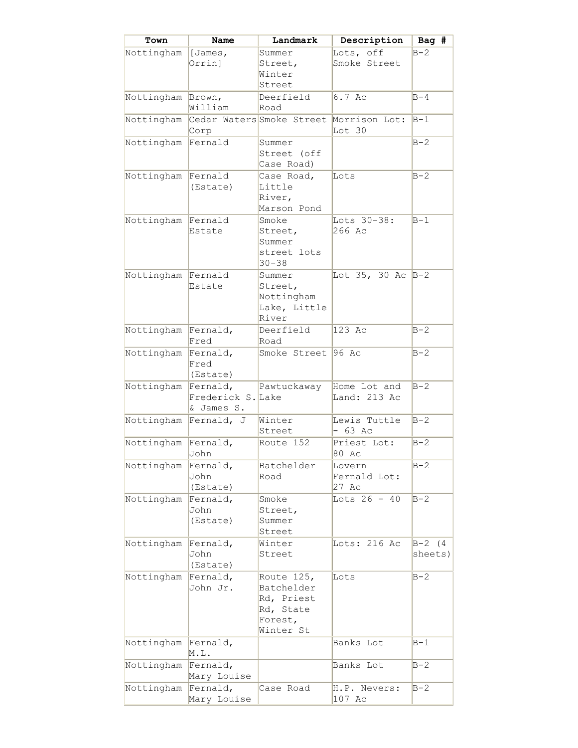| Town               | Name              | Landmark     | Description                                       | Bag #         |
|--------------------|-------------------|--------------|---------------------------------------------------|---------------|
| Nottingham         | $\vert$ [James,   | Summer       | Lots, off                                         | $B-2$         |
|                    | Orrin]            | Street,      | Smoke Street                                      |               |
|                    |                   | Winter       |                                                   |               |
|                    |                   | Street       |                                                   |               |
| Nottingham         | Brown,            | Deerfield    | 6.7 Ac                                            | $B - 4$       |
|                    | William           | Road         |                                                   |               |
| Nottingham         | Corp              |              | Cedar Waters Smoke Street Morrison Lot:<br>Lot 30 | $B-1$         |
| Nottingham         | Fernald           | Summer       |                                                   | $B-2$         |
|                    |                   | Street (off  |                                                   |               |
|                    |                   | Case Road)   |                                                   |               |
| Nottingham Fernald |                   | Case Road,   | Lots                                              | $B - 2$       |
|                    | (Estate)          | Little       |                                                   |               |
|                    |                   | River,       |                                                   |               |
|                    |                   | Marson Pond  |                                                   |               |
| Nottingham Fernald |                   | Smoke        | Lots 30-38:                                       | $B-1$         |
|                    | Estate            | Street,      | 266 Ac                                            |               |
|                    |                   |              |                                                   |               |
|                    |                   | Summer       |                                                   |               |
|                    |                   | street lots  |                                                   |               |
|                    |                   | $30 - 38$    |                                                   |               |
| Nottingham Fernald |                   | Summer       | Lot 35, 30 Ac $B-2$                               |               |
|                    | Estate            | Street,      |                                                   |               |
|                    |                   | Nottingham   |                                                   |               |
|                    |                   | Lake, Little |                                                   |               |
|                    |                   | River        |                                                   |               |
| Nottingham         | Fernald,          | Deerfield    | 123 Ac                                            | $B - 2$       |
|                    | Fred              | Road         |                                                   |               |
| Nottingham         | Fernald,          | Smoke Street | 96 Ac                                             | $B - 2$       |
|                    | Fred              |              |                                                   |               |
|                    | (Estate)          |              |                                                   |               |
| Nottingham         | Fernald,          | Pawtuckaway  | Home Lot and                                      | $B - 2$       |
|                    | Frederick S. Lake |              | Land: 213 Ac                                      |               |
|                    | & James S.        |              |                                                   |               |
| Nottingham         | Fernald, J        | Winter       | Lewis Tuttle                                      | $B - 2$       |
|                    |                   | Street       | $-63$ Ac                                          |               |
|                    |                   |              |                                                   |               |
| Nottingham         | Fernald,          | Route 152    | Priest Lot:<br>80 Ac                              | $B - 2$       |
|                    | John              |              |                                                   |               |
| Nottingham         | Fernald,          | Batchelder   | Lovern                                            | $B - 2$       |
|                    | John              | Road         | Fernald Lot:                                      |               |
|                    | (Estate)          |              | 27 Ac                                             |               |
| Nottingham         | Fernald,          | Smoke        | Lots $26 - 40$                                    | $B - 2$       |
|                    | John              | Street,      |                                                   |               |
|                    | (Estate)          | Summer       |                                                   |               |
|                    |                   | Street       |                                                   |               |
| Nottingham         | Fernald,          | Winter       | Lots: 216 Ac                                      | $B - 2$<br>(4 |
|                    | John              | Street       |                                                   | sheets)       |
|                    | (Estate)          |              |                                                   |               |
| Nottingham         | Fernald,          | Route 125,   | Lots                                              | $B - 2$       |
|                    | John Jr.          | Batchelder   |                                                   |               |
|                    |                   | Rd, Priest   |                                                   |               |
|                    |                   | Rd, State    |                                                   |               |
|                    |                   | Forest,      |                                                   |               |
|                    |                   | Winter St    |                                                   |               |
| Nottingham         | Fernald,          |              | Banks Lot                                         | $B-1$         |
|                    | M.L.              |              |                                                   |               |
|                    |                   |              |                                                   |               |
| Nottingham         | Fernald,          |              | Banks Lot                                         | $B - 2$       |
|                    | Mary Louise       |              |                                                   |               |
| Nottingham         | Fernald,          | Case Road    | H.P. Nevers:                                      | $B - 2$       |
|                    | Mary Louise       |              | 107 Ac                                            |               |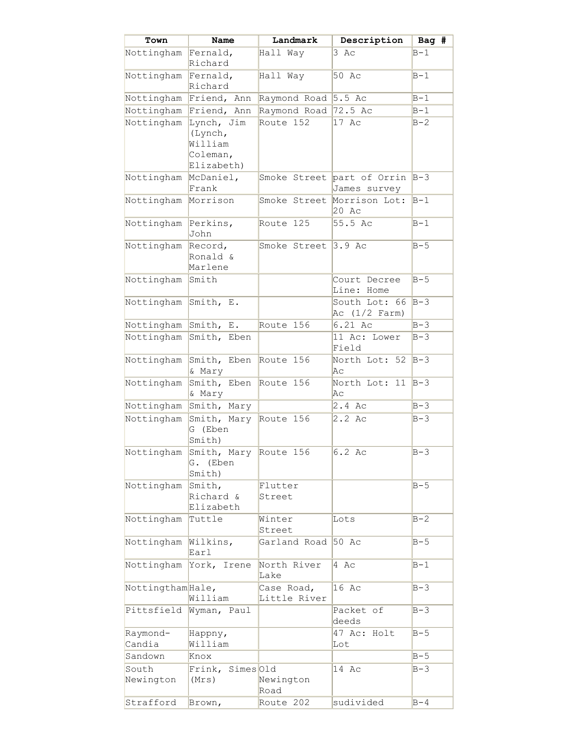| Town               | Name                                          | Landmark                   | Description                                | Bag #   |
|--------------------|-----------------------------------------------|----------------------------|--------------------------------------------|---------|
| Nottingham         | Fernald,<br>Richard                           | Hall Way                   | 3 Ac                                       | $B-1$   |
| Nottingham         | Fernald,<br>Richard                           | Hall Way                   | 50 Ac                                      | $B-1$   |
| Nottingham         | Friend, Ann                                   | Raymond Road               | 5.5 Ac                                     | $B-1$   |
| Nottingham         | Friend, Ann                                   | Raymond Road               | 72.5 Ac                                    | $B-1$   |
| Nottingham         | Lynch, Jim<br>Lypch,<br>William<br>Coleman,   | Route 152                  | 17 Ac                                      | $B - 2$ |
|                    | Elizabeth)                                    |                            |                                            |         |
| Nottingham         | McDaniel,<br>Frank                            |                            | Smoke Street part of Orrin<br>James survey | $B-3$   |
| Nottingham         | Morrison                                      | Smoke Street               | Morrison Lot:<br>20 Ac                     | $B-1$   |
| Nottingham         | Perkins,<br>John                              | Route 125                  | 55.5 Ac                                    | $B-1$   |
| Nottingham         | Record,<br>Ronald &<br>Marlene                | Smoke Street               | 3.9 Ac                                     | $B-5$   |
| Nottingham         | Smith                                         |                            | Court Decree<br>Line: Home                 | $B-5$   |
| Nottingham         | Smith, E.                                     |                            | South Lot:<br>66<br>Ac (1/2 Farm)          | $B-3$   |
| Nottingham         | Smith, E.                                     | Route 156                  | 6.21 Ac                                    | $B-3$   |
| Nottingham         | Smith, Eben                                   |                            | 11 Ac: Lower<br>Field                      | $B-3$   |
| Nottingham         | Smith,<br>Eben<br>& Mary                      | Route 156                  | North Lot: 52<br>Aс                        | $B-3$   |
| Nottingham         | Smith,<br>Eben<br>& Mary                      | Route 156                  | North Lot: 11<br>Aс                        | $B-3$   |
| Nottingham         | Smith, Mary                                   |                            | 2.4 Ac                                     | $B-3$   |
| Nottingham         | Smith, Mary Route 156<br>(Eben<br>G<br>Smith) |                            | 2.2 Ac                                     | $B-3$   |
| Nottingham         | Smith, Mary Route 156<br>G. (Eben<br>Smith)   |                            | 6.2 Ac                                     | $B-3$   |
| Nottingham         | Smith,<br>Richard &<br>Elizabeth              | Flutter<br>Street          |                                            | $B-5$   |
| Nottingham         | Tuttle                                        | Winter<br>Street           | Lots                                       | $B - 2$ |
| Nottingham         | Wilkins,<br>Earl                              | Garland Road               | 50 Ac                                      | $B-5$   |
| Nottingham         | York, Irene                                   | North River<br>Lake        | 4 Ac                                       | $B-1$   |
| Nottingtham Hale,  | William                                       | Case Road,<br>Little River | $16$ Ac                                    | $B-3$   |
| Pittsfield         | Wyman, Paul                                   |                            | Packet of<br>deeds                         | $B-3$   |
| Raymond-<br>Candia | Happny,<br>William                            |                            | 47 Ac: Holt<br>Lot                         | $B-5$   |
| Sandown            | Knox                                          |                            |                                            | $B-5$   |
| South              | Frink, Simes Old                              |                            | 14 Ac                                      | $B-3$   |
| Newington          | (Mrs)                                         | Newington<br>Road          |                                            |         |
| Strafford          | Brown,                                        | Route 202                  | sudivided                                  | $B - 4$ |